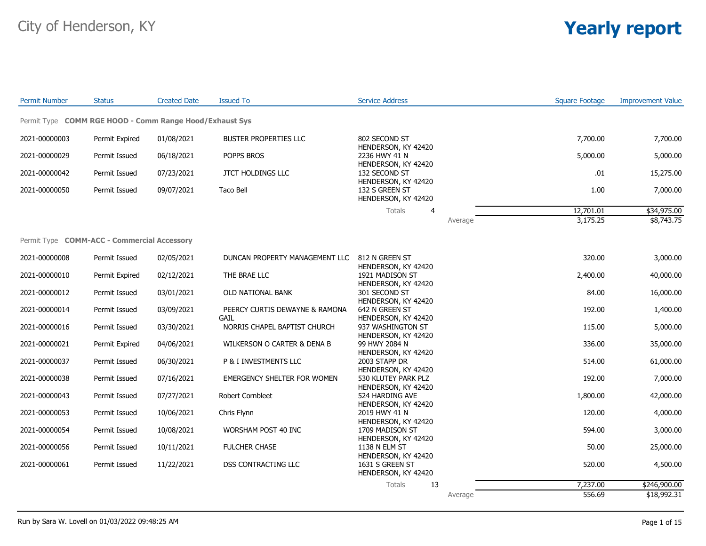| <b>Permit Number</b> | <b>Status</b>                                           | <b>Created Date</b> | <b>Issued To</b>                     | <b>Service Address</b>                                        |         | <b>Square Footage</b> | <b>Improvement Value</b> |
|----------------------|---------------------------------------------------------|---------------------|--------------------------------------|---------------------------------------------------------------|---------|-----------------------|--------------------------|
|                      | Permit Type COMM RGE HOOD - Comm Range Hood/Exhaust Sys |                     |                                      |                                                               |         |                       |                          |
| 2021-00000003        | Permit Expired                                          | 01/08/2021          | <b>BUSTER PROPERTIES LLC</b>         | 802 SECOND ST                                                 |         | 7,700.00              | 7,700.00                 |
| 2021-00000029        | Permit Issued                                           | 06/18/2021          | POPPS BROS                           | HENDERSON, KY 42420<br>2236 HWY 41 N                          |         | 5,000.00              | 5,000.00                 |
| 2021-00000042        | Permit Issued                                           | 07/23/2021          | <b>JTCT HOLDINGS LLC</b>             | HENDERSON, KY 42420<br>132 SECOND ST<br>HENDERSON, KY 42420   |         | .01                   | 15,275.00                |
| 2021-00000050        | Permit Issued                                           | 09/07/2021          | <b>Taco Bell</b>                     | 132 S GREEN ST<br>HENDERSON, KY 42420                         |         | 1.00                  | 7,000.00                 |
|                      |                                                         |                     |                                      |                                                               |         |                       |                          |
|                      |                                                         |                     |                                      | Totals<br>$\overline{4}$                                      |         | 12,701.01             | \$34,975.00              |
|                      |                                                         |                     |                                      |                                                               | Average | 3,175.25              | \$8,743.75               |
|                      | Permit Type COMM-ACC - Commercial Accessory             |                     |                                      |                                                               |         |                       |                          |
| 2021-00000008        | Permit Issued                                           | 02/05/2021          | DUNCAN PROPERTY MANAGEMENT LLC       | 812 N GREEN ST<br>HENDERSON, KY 42420                         |         | 320.00                | 3,000.00                 |
| 2021-00000010        | Permit Expired                                          | 02/12/2021          | THE BRAE LLC                         | 1921 MADISON ST                                               |         | 2,400.00              | 40,000.00                |
| 2021-00000012        | Permit Issued                                           | 03/01/2021          | OLD NATIONAL BANK                    | HENDERSON, KY 42420<br>301 SECOND ST                          |         | 84.00                 | 16,000.00                |
| 2021-00000014        | Permit Issued                                           | 03/09/2021          | PEERCY CURTIS DEWAYNE & RAMONA       | HENDERSON, KY 42420<br>642 N GREEN ST                         |         | 192.00                | 1,400.00                 |
| 2021-00000016        | Permit Issued                                           | 03/30/2021          | GAIL<br>NORRIS CHAPEL BAPTIST CHURCH | HENDERSON, KY 42420<br>937 WASHINGTON ST                      |         | 115.00                | 5,000.00                 |
| 2021-00000021        | Permit Expired                                          | 04/06/2021          | WILKERSON O CARTER & DENA B          | HENDERSON, KY 42420<br>99 HWY 2084 N                          |         | 336.00                | 35,000.00                |
| 2021-00000037        | Permit Issued                                           | 06/30/2021          | P & I INVESTMENTS LLC                | HENDERSON, KY 42420<br>2003 STAPP DR                          |         | 514.00                | 61,000.00                |
| 2021-00000038        | Permit Issued                                           | 07/16/2021          | EMERGENCY SHELTER FOR WOMEN          | HENDERSON, KY 42420<br>530 KLUTEY PARK PLZ                    |         | 192.00                | 7,000.00                 |
| 2021-00000043        | Permit Issued                                           | 07/27/2021          | Robert Cornbleet                     | HENDERSON, KY 42420<br>524 HARDING AVE                        |         | 1,800.00              | 42,000.00                |
| 2021-00000053        | Permit Issued                                           | 10/06/2021          | Chris Flynn                          | HENDERSON, KY 42420<br>2019 HWY 41 N                          |         | 120.00                | 4,000.00                 |
| 2021-00000054        | Permit Issued                                           | 10/08/2021          | WORSHAM POST 40 INC                  | HENDERSON, KY 42420<br>1709 MADISON ST                        |         | 594.00                | 3,000.00                 |
| 2021-00000056        | Permit Issued                                           | 10/11/2021          | FULCHER CHASE                        | HENDERSON, KY 42420<br>1138 N ELM ST                          |         | 50.00                 | 25,000.00                |
| 2021-00000061        | Permit Issued                                           | 11/22/2021          | DSS CONTRACTING LLC                  | HENDERSON, KY 42420<br>1631 S GREEN ST<br>HENDERSON, KY 42420 |         | 520.00                | 4,500.00                 |
|                      |                                                         |                     |                                      | 13<br>Totals                                                  |         | 7,237.00              | \$246,900.00             |
|                      |                                                         |                     |                                      |                                                               | Average | 556.69                | \$18,992.31              |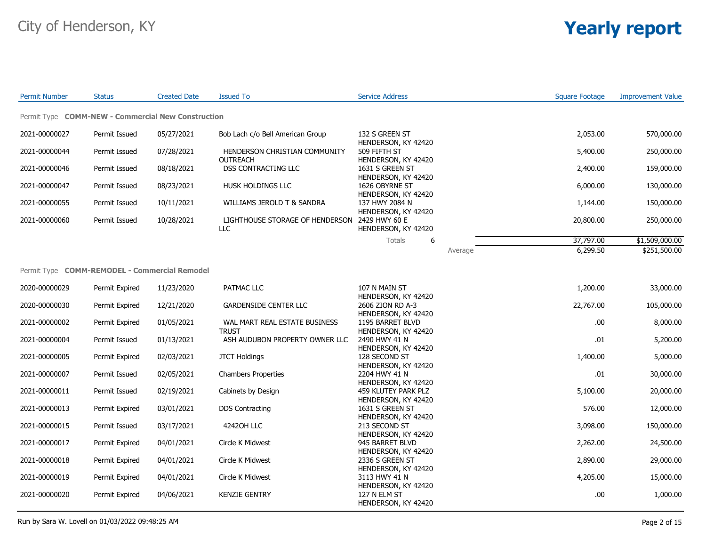| <b>Permit Number</b> | <b>Status</b>                                      | <b>Created Date</b> | <b>Issued To</b>                                 | <b>Service Address</b>                                      |         | Square Footage | <b>Improvement Value</b> |
|----------------------|----------------------------------------------------|---------------------|--------------------------------------------------|-------------------------------------------------------------|---------|----------------|--------------------------|
|                      | Permit Type COMM-NEW - Commercial New Construction |                     |                                                  |                                                             |         |                |                          |
| 2021-00000027        | Permit Issued                                      | 05/27/2021          | Bob Lach c/o Bell American Group                 | 132 S GREEN ST<br>HENDERSON, KY 42420                       |         | 2,053.00       | 570,000.00               |
| 2021-00000044        | Permit Issued                                      | 07/28/2021          | HENDERSON CHRISTIAN COMMUNITY<br><b>OUTREACH</b> | 509 FIFTH ST<br>HENDERSON, KY 42420                         |         | 5,400.00       | 250,000.00               |
| 2021-00000046        | Permit Issued                                      | 08/18/2021          | DSS CONTRACTING LLC                              | 1631 S GREEN ST<br>HENDERSON, KY 42420                      |         | 2,400.00       | 159,000.00               |
| 2021-00000047        | Permit Issued                                      | 08/23/2021          | HUSK HOLDINGS LLC                                | 1626 OBYRNE ST<br>HENDERSON, KY 42420                       |         | 6,000.00       | 130,000.00               |
| 2021-00000055        | Permit Issued                                      | 10/11/2021          | WILLIAMS JEROLD T & SANDRA                       | 137 HWY 2084 N<br>HENDERSON, KY 42420                       |         | 1,144.00       | 150,000.00               |
| 2021-00000060        | Permit Issued                                      | 10/28/2021          | LIGHTHOUSE STORAGE OF HENDERSON<br><b>LLC</b>    | 2429 HWY 60 E<br>HENDERSON, KY 42420                        |         | 20,800.00      | 250,000.00               |
|                      |                                                    |                     |                                                  | Totals<br>6                                                 |         | 37,797.00      | \$1,509,000.00           |
|                      |                                                    |                     |                                                  |                                                             | Average | 6,299.50       | \$251,500.00             |
|                      | Permit Type COMM-REMODEL - Commercial Remodel      |                     |                                                  |                                                             |         |                |                          |
| 2020-00000029        | Permit Expired                                     | 11/23/2020          | PATMAC LLC                                       | 107 N MAIN ST<br>HENDERSON, KY 42420                        |         | 1,200.00       | 33,000.00                |
| 2020-00000030        | Permit Expired                                     | 12/21/2020          | <b>GARDENSIDE CENTER LLC</b>                     | 2606 ZION RD A-3<br>HENDERSON, KY 42420                     |         | 22,767.00      | 105,000.00               |
| 2021-00000002        | Permit Expired                                     | 01/05/2021          | WAL MART REAL ESTATE BUSINESS<br><b>TRUST</b>    | 1195 BARRET BLVD<br>HENDERSON, KY 42420                     |         | .00.           | 8,000.00                 |
| 2021-00000004        | Permit Issued                                      | 01/13/2021          | ASH AUDUBON PROPERTY OWNER LLC                   | 2490 HWY 41 N<br>HENDERSON, KY 42420                        |         | .01            | 5,200.00                 |
| 2021-00000005        | Permit Expired                                     | 02/03/2021          | <b>JTCT Holdings</b>                             | 128 SECOND ST<br>HENDERSON, KY 42420                        |         | 1,400.00       | 5,000.00                 |
| 2021-00000007        | Permit Issued                                      | 02/05/2021          | <b>Chambers Properties</b>                       | 2204 HWY 41 N<br>HENDERSON, KY 42420                        |         | .01            | 30,000.00                |
| 2021-00000011        | Permit Issued                                      | 02/19/2021          | Cabinets by Design                               | 459 KLUTEY PARK PLZ<br>HENDERSON, KY 42420                  |         | 5,100.00       | 20,000.00                |
| 2021-00000013        | Permit Expired                                     | 03/01/2021          | <b>DDS Contracting</b>                           | 1631 S GREEN ST<br>HENDERSON, KY 42420                      |         | 576.00         | 12,000.00                |
| 2021-00000015        | Permit Issued                                      | 03/17/2021          | 42420H LLC                                       | 213 SECOND ST<br>HENDERSON, KY 42420                        |         | 3,098.00       | 150,000.00               |
| 2021-00000017        | Permit Expired                                     | 04/01/2021          | Circle K Midwest                                 | 945 BARRET BLVD<br>HENDERSON, KY 42420                      |         | 2,262.00       | 24,500.00                |
| 2021-00000018        | Permit Expired                                     | 04/01/2021          | Circle K Midwest                                 | 2336 S GREEN ST                                             |         | 2,890.00       | 29,000.00                |
| 2021-00000019        | Permit Expired                                     | 04/01/2021          | Circle K Midwest                                 | HENDERSON, KY 42420<br>3113 HWY 41 N<br>HENDERSON, KY 42420 |         | 4,205.00       | 15,000.00                |
| 2021-00000020        | Permit Expired                                     | 04/06/2021          | <b>KENZIE GENTRY</b>                             | 127 N ELM ST<br>HENDERSON, KY 42420                         |         | .00            | 1,000.00                 |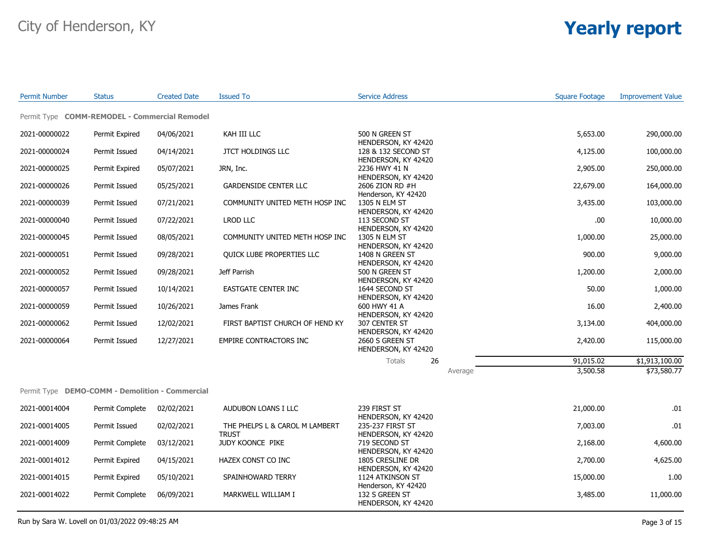| <b>Permit Number</b>                            | <b>Status</b>   | <b>Created Date</b> | <b>Issued To</b>                 | <b>Service Address</b>                                       | <b>Square Footage</b> | <b>Improvement Value</b> |
|-------------------------------------------------|-----------------|---------------------|----------------------------------|--------------------------------------------------------------|-----------------------|--------------------------|
| Permit Type COMM-REMODEL - Commercial Remodel   |                 |                     |                                  |                                                              |                       |                          |
| 2021-00000022                                   | Permit Expired  | 04/06/2021          | KAH III LLC                      | 500 N GREEN ST<br>HENDERSON, KY 42420                        | 5,653.00              | 290,000.00               |
| 2021-00000024                                   | Permit Issued   | 04/14/2021          | <b>JTCT HOLDINGS LLC</b>         | 128 & 132 SECOND ST                                          | 4,125.00              | 100,000.00               |
| 2021-00000025                                   | Permit Expired  | 05/07/2021          | JRN, Inc.                        | HENDERSON, KY 42420<br>2236 HWY 41 N                         | 2,905.00              | 250,000.00               |
| 2021-00000026                                   | Permit Issued   | 05/25/2021          | <b>GARDENSIDE CENTER LLC</b>     | HENDERSON, KY 42420<br>2606 ZION RD #H                       | 22,679.00             | 164,000.00               |
| 2021-00000039                                   | Permit Issued   | 07/21/2021          | COMMUNITY UNITED METH HOSP INC   | Henderson, KY 42420<br>1305 N ELM ST                         | 3,435.00              | 103,000.00               |
| 2021-00000040                                   | Permit Issued   | 07/22/2021          | LROD LLC                         | HENDERSON, KY 42420<br>113 SECOND ST                         | .00                   | 10,000.00                |
| 2021-00000045                                   | Permit Issued   | 08/05/2021          | COMMUNITY UNITED METH HOSP INC   | HENDERSON, KY 42420<br>1305 N ELM ST                         | 1,000.00              | 25,000.00                |
| 2021-00000051                                   | Permit Issued   | 09/28/2021          | QUICK LUBE PROPERTIES LLC        | HENDERSON, KY 42420<br>1408 N GREEN ST                       | 900.00                | 9,000.00                 |
| 2021-00000052                                   | Permit Issued   | 09/28/2021          | Jeff Parrish                     | HENDERSON, KY 42420<br>500 N GREEN ST                        | 1,200.00              | 2,000.00                 |
| 2021-00000057                                   | Permit Issued   | 10/14/2021          | EASTGATE CENTER INC              | HENDERSON, KY 42420<br>1644 SECOND ST                        | 50.00                 | 1,000.00                 |
| 2021-00000059                                   | Permit Issued   | 10/26/2021          | James Frank                      | HENDERSON, KY 42420<br>600 HWY 41 A                          | 16.00                 | 2,400.00                 |
| 2021-00000062                                   | Permit Issued   | 12/02/2021          | FIRST BAPTIST CHURCH OF HEND KY  | HENDERSON, KY 42420<br>307 CENTER ST<br>HENDERSON, KY 42420  | 3,134.00              | 404,000.00               |
| 2021-00000064                                   | Permit Issued   | 12/27/2021          | EMPIRE CONTRACTORS INC           | 2660 S GREEN ST<br>HENDERSON, KY 42420                       | 2,420.00              | 115,000.00               |
|                                                 |                 |                     |                                  | Totals<br>26                                                 | 91,015.02             | \$1,913,100.00           |
|                                                 |                 |                     |                                  |                                                              | 3,500.58<br>Average   | \$73,580.77              |
| Permit Type DEMO-COMM - Demolition - Commercial |                 |                     |                                  |                                                              |                       |                          |
| 2021-00014004                                   | Permit Complete | 02/02/2021          | AUDUBON LOANS I LLC              | 239 FIRST ST                                                 | 21,000.00             | .01                      |
| 2021-00014005                                   | Permit Issued   | 02/02/2021          | THE PHELPS L & CAROL M LAMBERT   | HENDERSON, KY 42420<br>235-237 FIRST ST                      | 7,003.00              | .01                      |
| 2021-00014009                                   | Permit Complete | 03/12/2021          | <b>TRUST</b><br>JUDY KOONCE PIKE | HENDERSON, KY 42420<br>719 SECOND ST                         | 2,168.00              | 4,600.00                 |
| 2021-00014012                                   | Permit Expired  | 04/15/2021          | HAZEX CONST CO INC               | HENDERSON, KY 42420<br>1805 CRESLINE DR                      | 2,700.00              | 4,625.00                 |
| 2021-00014015                                   | Permit Expired  | 05/10/2021          | SPAINHOWARD TERRY                | HENDERSON, KY 42420<br>1124 ATKINSON ST                      | 15,000.00             | 1.00                     |
| 2021-00014022                                   | Permit Complete | 06/09/2021          | MARKWELL WILLIAM I               | Henderson, KY 42420<br>132 S GREEN ST<br>HENDERSON, KY 42420 | 3,485.00              | 11,000.00                |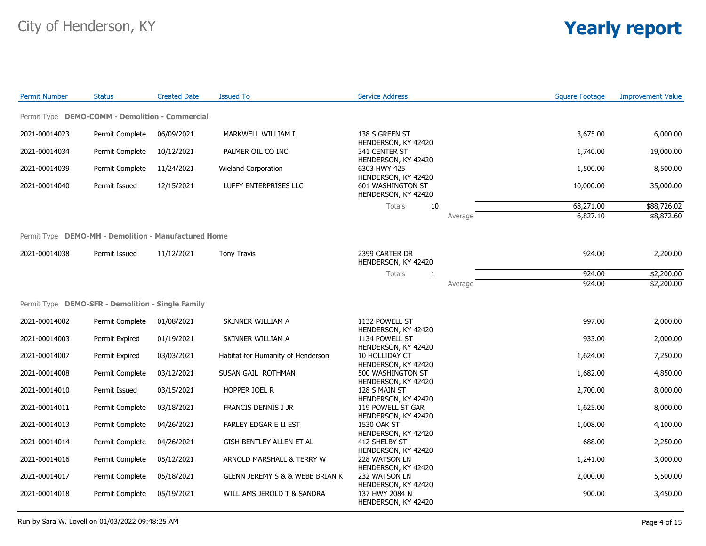| <b>Permit Number</b>                                 | <b>Status</b>   | <b>Created Date</b> | <b>Issued To</b>                               | <b>Service Address</b>                                          |         | <b>Square Footage</b> | <b>Improvement Value</b> |
|------------------------------------------------------|-----------------|---------------------|------------------------------------------------|-----------------------------------------------------------------|---------|-----------------------|--------------------------|
| Permit Type DEMO-COMM - Demolition - Commercial      |                 |                     |                                                |                                                                 |         |                       |                          |
| 2021-00014023                                        | Permit Complete | 06/09/2021          | MARKWELL WILLIAM I                             | 138 S GREEN ST                                                  |         | 3,675.00              | 6,000.00                 |
| 2021-00014034                                        | Permit Complete | 10/12/2021          | PALMER OIL CO INC                              | HENDERSON, KY 42420<br>341 CENTER ST<br>HENDERSON, KY 42420     |         | 1,740.00              | 19,000.00                |
| 2021-00014039                                        | Permit Complete | 11/24/2021          | Wieland Corporation                            | 6303 HWY 425                                                    |         | 1,500.00              | 8,500.00                 |
| 2021-00014040                                        | Permit Issued   | 12/15/2021          | LUFFY ENTERPRISES LLC                          | HENDERSON, KY 42420<br>601 WASHINGTON ST<br>HENDERSON, KY 42420 |         | 10,000.00             | 35,000.00                |
|                                                      |                 |                     |                                                | 10<br>Totals                                                    |         | 68,271.00             | \$88,726.02              |
|                                                      |                 |                     |                                                |                                                                 | Average | 6,827.10              | \$8,872.60               |
| Permit Type DEMO-MH - Demolition - Manufactured Home |                 |                     |                                                |                                                                 |         |                       |                          |
| 2021-00014038                                        | Permit Issued   | 11/12/2021          | <b>Tony Travis</b>                             | 2399 CARTER DR<br>HENDERSON, KY 42420                           |         | 924.00                | 2,200.00                 |
|                                                      |                 |                     |                                                | Totals<br>1                                                     |         | 924.00                | \$2,200.00               |
|                                                      |                 |                     |                                                |                                                                 | Average | 924.00                | \$2,200.00               |
| Permit Type DEMO-SFR - Demolition - Single Family    |                 |                     |                                                |                                                                 |         |                       |                          |
| 2021-00014002                                        | Permit Complete | 01/08/2021          | SKINNER WILLIAM A                              | 1132 POWELL ST<br>HENDERSON, KY 42420                           |         | 997.00                | 2,000.00                 |
| 2021-00014003                                        | Permit Expired  | 01/19/2021          | SKINNER WILLIAM A                              | 1134 POWELL ST<br>HENDERSON, KY 42420                           |         | 933.00                | 2,000.00                 |
| 2021-00014007                                        | Permit Expired  | 03/03/2021          | Habitat for Humanity of Henderson              | 10 HOLLIDAY CT<br>HENDERSON, KY 42420                           |         | 1,624.00              | 7,250.00                 |
| 2021-00014008                                        | Permit Complete | 03/12/2021          | SUSAN GAIL ROTHMAN                             | 500 WASHINGTON ST<br>HENDERSON, KY 42420                        |         | 1,682.00              | 4,850.00                 |
| 2021-00014010                                        | Permit Issued   | 03/15/2021          | HOPPER JOEL R                                  | 128 S MAIN ST<br>HENDERSON, KY 42420                            |         | 2,700.00              | 8,000.00                 |
| 2021-00014011                                        | Permit Complete | 03/18/2021          | FRANCIS DENNIS J JR                            | 119 POWELL ST GAR<br>HENDERSON, KY 42420                        |         | 1,625.00              | 8,000.00                 |
| 2021-00014013                                        | Permit Complete | 04/26/2021          | FARLEY EDGAR E II EST                          | 1530 OAK ST<br>HENDERSON, KY 42420                              |         | 1,008.00              | 4,100.00                 |
| 2021-00014014                                        | Permit Complete | 04/26/2021          | GISH BENTLEY ALLEN ET AL                       | 412 SHELBY ST<br>HENDERSON, KY 42420                            |         | 688.00                | 2,250.00                 |
| 2021-00014016                                        | Permit Complete | 05/12/2021          | ARNOLD MARSHALL & TERRY W                      | 228 WATSON LN<br>HENDERSON, KY 42420                            |         | 1,241.00              | 3,000.00                 |
| 2021-00014017                                        | Permit Complete | 05/18/2021          | <b>GLENN JEREMY S &amp; &amp; WEBB BRIAN K</b> | 232 WATSON LN                                                   |         | 2,000.00              | 5,500.00                 |
| 2021-00014018                                        | Permit Complete | 05/19/2021          | WILLIAMS JEROLD T & SANDRA                     | HENDERSON, KY 42420<br>137 HWY 2084 N<br>HENDERSON, KY 42420    |         | 900.00                | 3,450.00                 |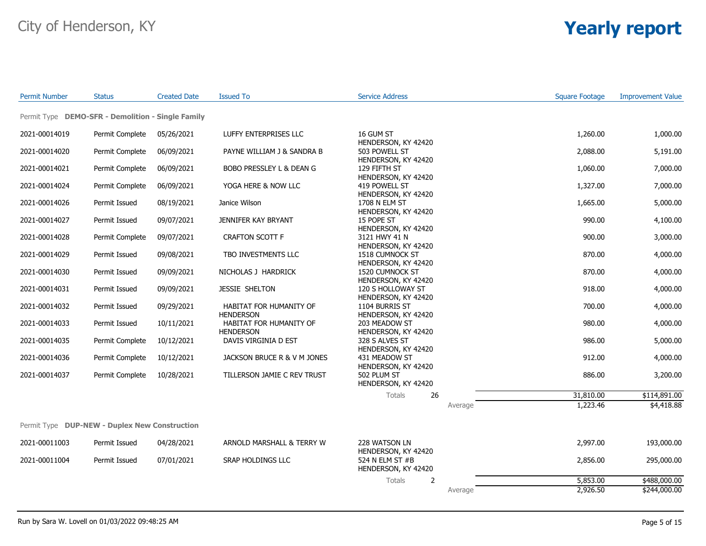| <b>Permit Number</b> | <b>Status</b>                                     | <b>Created Date</b> | <b>Issued To</b>                                                | <b>Service Address</b>                                      |          | <b>Square Footage</b> | <b>Improvement Value</b> |
|----------------------|---------------------------------------------------|---------------------|-----------------------------------------------------------------|-------------------------------------------------------------|----------|-----------------------|--------------------------|
|                      | Permit Type DEMO-SFR - Demolition - Single Family |                     |                                                                 |                                                             |          |                       |                          |
| 2021-00014019        | Permit Complete                                   | 05/26/2021          | LUFFY ENTERPRISES LLC                                           | 16 GUM ST                                                   |          | 1,260.00              | 1,000.00                 |
| 2021-00014020        | Permit Complete                                   | 06/09/2021          | PAYNE WILLIAM J & SANDRA B                                      | HENDERSON, KY 42420<br>503 POWELL ST                        |          | 2,088.00              | 5,191.00                 |
| 2021-00014021        | Permit Complete                                   | 06/09/2021          | BOBO PRESSLEY L & DEAN G                                        | HENDERSON, KY 42420<br>129 FIFTH ST                         |          | 1,060.00              | 7,000.00                 |
| 2021-00014024        | Permit Complete                                   | 06/09/2021          | YOGA HERE & NOW LLC                                             | HENDERSON, KY 42420<br>419 POWELL ST                        |          | 1,327.00              | 7,000.00                 |
| 2021-00014026        | Permit Issued                                     | 08/19/2021          | Janice Wilson                                                   | HENDERSON, KY 42420<br>1708 N ELM ST                        |          | 1,665.00              | 5,000.00                 |
| 2021-00014027        | Permit Issued                                     | 09/07/2021          | JENNIFER KAY BRYANT                                             | HENDERSON, KY 42420<br>15 POPE ST<br>HENDERSON, KY 42420    |          | 990.00                | 4,100.00                 |
| 2021-00014028        | Permit Complete                                   | 09/07/2021          | <b>CRAFTON SCOTT F</b>                                          | 3121 HWY 41 N                                               |          | 900.00                | 3,000.00                 |
| 2021-00014029        | Permit Issued                                     | 09/08/2021          | TBO INVESTMENTS LLC                                             | HENDERSON, KY 42420<br>1518 CUMNOCK ST                      |          | 870.00                | 4,000.00                 |
| 2021-00014030        | Permit Issued                                     | 09/09/2021          | NICHOLAS J HARDRICK                                             | HENDERSON, KY 42420<br><b>1520 CUMNOCK ST</b>               |          | 870.00                | 4,000.00                 |
| 2021-00014031        | Permit Issued                                     | 09/09/2021          | JESSIE SHELTON                                                  | HENDERSON, KY 42420<br>120 S HOLLOWAY ST                    |          | 918.00                | 4,000.00                 |
| 2021-00014032        | Permit Issued                                     | 09/29/2021          | HABITAT FOR HUMANITY OF                                         | HENDERSON, KY 42420<br>1104 BURRIS ST                       |          | 700.00                | 4,000.00                 |
| 2021-00014033        | Permit Issued                                     | 10/11/2021          | <b>HENDERSON</b><br>HABITAT FOR HUMANITY OF<br><b>HENDERSON</b> | HENDERSON, KY 42420<br>203 MEADOW ST<br>HENDERSON, KY 42420 |          | 980.00                | 4,000.00                 |
| 2021-00014035        | Permit Complete                                   | 10/12/2021          | DAVIS VIRGINIA D EST                                            | 328 S ALVES ST<br>HENDERSON, KY 42420                       |          | 986.00                | 5,000.00                 |
| 2021-00014036        | Permit Complete                                   | 10/12/2021          | JACKSON BRUCE R & V M JONES                                     | 431 MEADOW ST<br>HENDERSON, KY 42420                        |          | 912.00                | 4,000.00                 |
| 2021-00014037        | Permit Complete                                   | 10/28/2021          | TILLERSON JAMIE C REV TRUST                                     | 502 PLUM ST<br>HENDERSON, KY 42420                          |          | 886.00                | 3,200.00                 |
|                      |                                                   |                     |                                                                 | Totals<br>26                                                |          | 31,810.00             | \$114,891.00             |
|                      |                                                   |                     |                                                                 |                                                             | Average  | 1,223.46              | \$4,418.88               |
|                      | Permit Type DUP-NEW - Duplex New Construction     |                     |                                                                 |                                                             |          |                       |                          |
| 2021-00011003        | Permit Issued                                     | 04/28/2021          | ARNOLD MARSHALL & TERRY W                                       | 228 WATSON LN                                               |          | 2,997.00              | 193,000.00               |
| 2021-00011004        | Permit Issued<br>07/01/2021                       | SRAP HOLDINGS LLC   | HENDERSON, KY 42420<br>524 N ELM ST #B<br>HENDERSON, KY 42420   |                                                             | 2,856.00 | 295,000.00            |                          |
|                      |                                                   |                     |                                                                 | 2<br><b>Totals</b>                                          |          | 5,853.00              | \$488,000.00             |
|                      |                                                   |                     |                                                                 |                                                             | Average  | 2,926.50              | \$244,000.00             |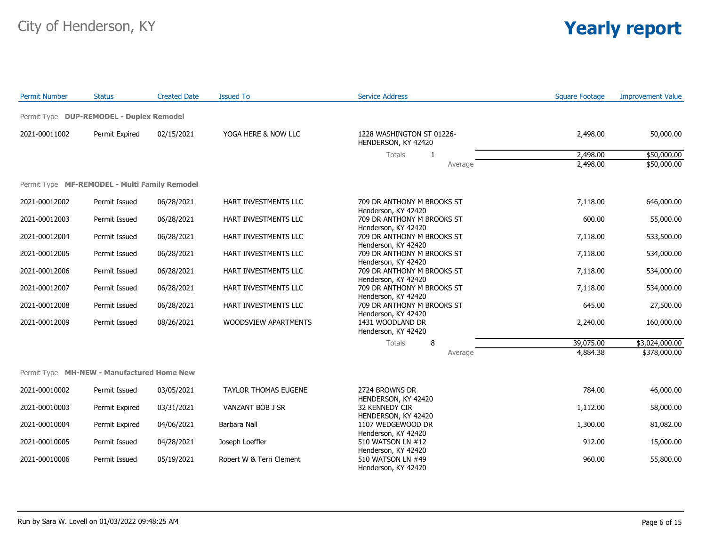| <b>Permit Number</b> | <b>Status</b>                                 | <b>Created Date</b> | <b>Issued To</b>         | <b>Service Address</b>                                                   | <b>Square Footage</b> | <b>Improvement Value</b> |
|----------------------|-----------------------------------------------|---------------------|--------------------------|--------------------------------------------------------------------------|-----------------------|--------------------------|
|                      | Permit Type DUP-REMODEL - Duplex Remodel      |                     |                          |                                                                          |                       |                          |
| 2021-00011002        | Permit Expired                                | 02/15/2021          | YOGA HERE & NOW LLC      | 1228 WASHINGTON ST 01226-<br>HENDERSON, KY 42420                         | 2,498.00              | 50,000.00                |
|                      |                                               |                     |                          | <b>Totals</b><br>1                                                       | 2,498.00              | \$50,000.00              |
|                      |                                               |                     |                          | Average                                                                  | 2,498.00              | \$50,000.00              |
|                      | Permit Type MF-REMODEL - Multi Family Remodel |                     |                          |                                                                          |                       |                          |
| 2021-00012002        | Permit Issued                                 | 06/28/2021          | HART INVESTMENTS LLC     | 709 DR ANTHONY M BROOKS ST<br>Henderson, KY 42420                        | 7,118.00              | 646,000.00               |
| 2021-00012003        | Permit Issued                                 | 06/28/2021          | HART INVESTMENTS LLC     | 709 DR ANTHONY M BROOKS ST                                               | 600.00                | 55,000.00                |
| 2021-00012004        | Permit Issued                                 | 06/28/2021          | HART INVESTMENTS LLC     | Henderson, KY 42420<br>709 DR ANTHONY M BROOKS ST<br>Henderson, KY 42420 | 7,118.00              | 533,500.00               |
| 2021-00012005        | Permit Issued                                 | 06/28/2021          | HART INVESTMENTS LLC     | 709 DR ANTHONY M BROOKS ST<br>Henderson, KY 42420                        | 7,118.00              | 534,000.00               |
| 2021-00012006        | Permit Issued                                 | 06/28/2021          | HART INVESTMENTS LLC     | 709 DR ANTHONY M BROOKS ST<br>Henderson, KY 42420                        | 7,118.00              | 534,000.00               |
| 2021-00012007        | Permit Issued                                 | 06/28/2021          | HART INVESTMENTS LLC     | 709 DR ANTHONY M BROOKS ST<br>Henderson, KY 42420                        | 7,118.00              | 534,000.00               |
| 2021-00012008        | Permit Issued                                 | 06/28/2021          | HART INVESTMENTS LLC     | 709 DR ANTHONY M BROOKS ST                                               | 645.00                | 27,500.00                |
| 2021-00012009        | Permit Issued                                 | 08/26/2021          | WOODSVIEW APARTMENTS     | Henderson, KY 42420<br>1431 WOODLAND DR<br>Henderson, KY 42420           | 2,240.00              | 160,000.00               |
|                      |                                               |                     |                          | Totals<br>8                                                              | 39,075.00             | \$3,024,000.00           |
|                      |                                               |                     |                          | Average                                                                  | 4,884.38              | \$378,000.00             |
|                      | Permit Type MH-NEW - Manufactured Home New    |                     |                          |                                                                          |                       |                          |
| 2021-00010002        | Permit Issued                                 | 03/05/2021          | TAYLOR THOMAS EUGENE     | 2724 BROWNS DR<br>HENDERSON, KY 42420                                    | 784.00                | 46,000.00                |
| 2021-00010003        | Permit Expired                                | 03/31/2021          | VANZANT BOB J SR         | 32 KENNEDY CIR<br>HENDERSON, KY 42420                                    | 1,112.00              | 58,000.00                |
| 2021-00010004        | Permit Expired                                | 04/06/2021          | Barbara Nall             | 1107 WEDGEWOOD DR                                                        | 1,300.00              | 81,082.00                |
| 2021-00010005        | Permit Issued                                 | 04/28/2021          | Joseph Loeffler          | Henderson, KY 42420<br>510 WATSON LN #12                                 | 912.00                | 15,000.00                |
| 2021-00010006        | Permit Issued                                 | 05/19/2021          | Robert W & Terri Clement | Henderson, KY 42420<br>510 WATSON LN #49<br>Henderson, KY 42420          | 960.00                | 55,800.00                |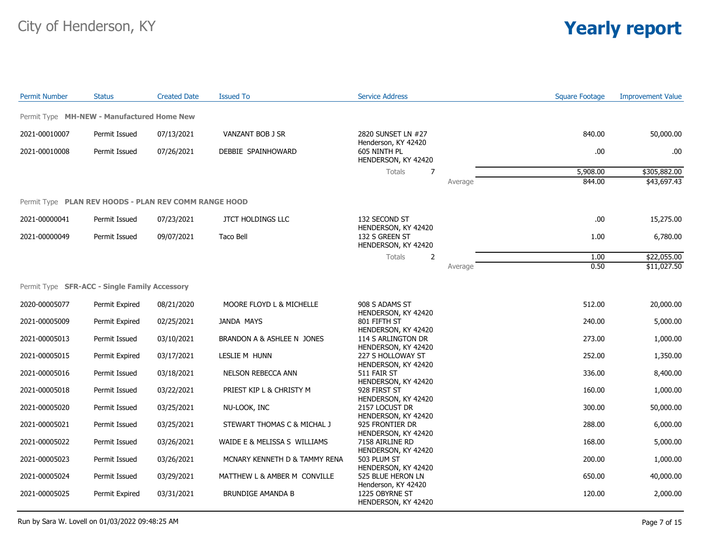| <b>Permit Number</b> | <b>Status</b>                                         | <b>Created Date</b> | <b>Issued To</b>              | <b>Service Address</b>                                       |         | <b>Square Footage</b> | <b>Improvement Value</b> |
|----------------------|-------------------------------------------------------|---------------------|-------------------------------|--------------------------------------------------------------|---------|-----------------------|--------------------------|
|                      | Permit Type MH-NEW - Manufactured Home New            |                     |                               |                                                              |         |                       |                          |
| 2021-00010007        | Permit Issued                                         | 07/13/2021          | VANZANT BOB J SR              | 2820 SUNSET LN #27                                           |         | 840.00                | 50,000.00                |
| 2021-00010008        | Permit Issued                                         | 07/26/2021          | DEBBIE SPAINHOWARD            | Henderson, KY 42420<br>605 NINTH PL<br>HENDERSON, KY 42420   |         | .00                   | .00                      |
|                      |                                                       |                     |                               | Totals<br>7                                                  |         | 5,908.00              | \$305,882.00             |
|                      |                                                       |                     |                               |                                                              | Average | 844.00                | \$43,697.43              |
|                      | Permit Type PLAN REV HOODS - PLAN REV COMM RANGE HOOD |                     |                               |                                                              |         |                       |                          |
| 2021-00000041        | Permit Issued                                         | 07/23/2021          | <b>JTCT HOLDINGS LLC</b>      | 132 SECOND ST                                                |         | .00                   | 15,275.00                |
| 2021-00000049        | Permit Issued                                         | 09/07/2021          | <b>Taco Bell</b>              | HENDERSON, KY 42420<br>132 S GREEN ST<br>HENDERSON, KY 42420 |         | 1.00                  | 6,780.00                 |
|                      |                                                       |                     |                               | Totals<br>2                                                  |         | 1.00                  | \$22,055.00              |
|                      |                                                       |                     |                               |                                                              | Average | 0.50                  | \$11,027.50              |
|                      | Permit Type SFR-ACC - Single Family Accessory         |                     |                               |                                                              |         |                       |                          |
| 2020-00005077        | Permit Expired                                        | 08/21/2020          | MOORE FLOYD L & MICHELLE      | 908 S ADAMS ST<br>HENDERSON, KY 42420                        |         | 512.00                | 20,000.00                |
| 2021-00005009        | Permit Expired                                        | 02/25/2021          | JANDA MAYS                    | 801 FIFTH ST                                                 |         | 240.00                | 5,000.00                 |
| 2021-00005013        | Permit Issued                                         | 03/10/2021          | BRANDON A & ASHLEE N JONES    | HENDERSON, KY 42420<br>114 S ARLINGTON DR                    |         | 273.00                | 1,000.00                 |
| 2021-00005015        | Permit Expired                                        | 03/17/2021          | LESLIE M HUNN                 | HENDERSON, KY 42420<br>227 S HOLLOWAY ST                     |         | 252.00                | 1,350.00                 |
| 2021-00005016        | Permit Issued                                         | 03/18/2021          | NELSON REBECCA ANN            | HENDERSON, KY 42420<br>511 FAIR ST                           |         | 336.00                | 8,400.00                 |
| 2021-00005018        | Permit Issued                                         | 03/22/2021          | PRIEST KIP L & CHRISTY M      | HENDERSON, KY 42420<br>928 FIRST ST                          |         | 160.00                | 1,000.00                 |
| 2021-00005020        | Permit Issued                                         | 03/25/2021          | NU-LOOK, INC                  | HENDERSON, KY 42420<br>2157 LOCUST DR                        |         | 300.00                | 50,000.00                |
| 2021-00005021        | Permit Issued                                         | 03/25/2021          | STEWART THOMAS C & MICHAL J   | HENDERSON, KY 42420<br>925 FRONTIER DR                       |         | 288.00                | 6,000.00                 |
| 2021-00005022        | Permit Issued                                         | 03/26/2021          | WAIDE E & MELISSA S WILLIAMS  | HENDERSON, KY 42420<br>7158 AIRLINE RD                       |         | 168.00                | 5,000.00                 |
| 2021-00005023        | Permit Issued                                         | 03/26/2021          | MCNARY KENNETH D & TAMMY RENA | HENDERSON, KY 42420<br>503 PLUM ST                           |         | 200.00                | 1,000.00                 |
|                      |                                                       |                     |                               | HENDERSON, KY 42420                                          |         |                       |                          |
| 2021-00005024        | Permit Issued                                         | 03/29/2021          | MATTHEW L & AMBER M CONVILLE  | 525 BLUE HERON LN<br>Henderson, KY 42420                     |         | 650.00                | 40,000.00                |
| 2021-00005025        | Permit Expired                                        | 03/31/2021          | <b>BRUNDIGE AMANDA B</b>      | 1225 OBYRNE ST<br>HENDERSON, KY 42420                        |         | 120.00                | 2,000.00                 |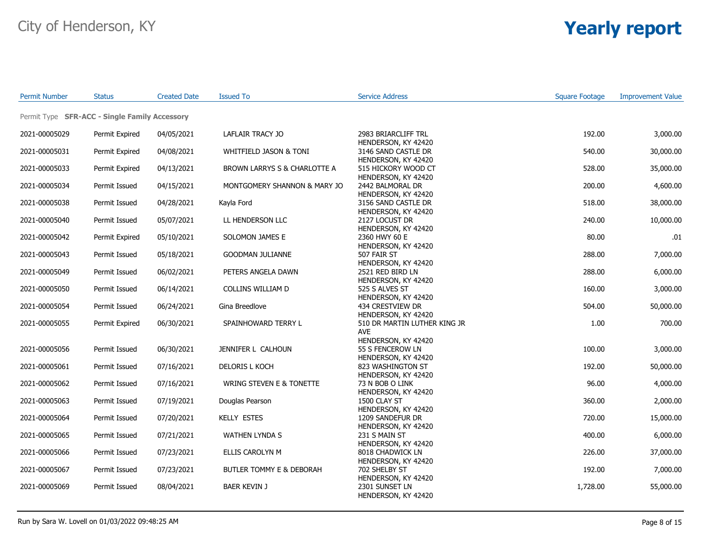| <b>Permit Number</b> | <b>Status</b>                                 | <b>Created Date</b> | <b>Issued To</b>             | <b>Service Address</b>                                            | <b>Square Footage</b> | <b>Improvement Value</b> |
|----------------------|-----------------------------------------------|---------------------|------------------------------|-------------------------------------------------------------------|-----------------------|--------------------------|
|                      | Permit Type SFR-ACC - Single Family Accessory |                     |                              |                                                                   |                       |                          |
| 2021-00005029        | Permit Expired                                | 04/05/2021          | LAFLAIR TRACY JO             | 2983 BRIARCLIFF TRL                                               | 192.00                | 3,000.00                 |
| 2021-00005031        | Permit Expired                                | 04/08/2021          | WHITFIELD JASON & TONI       | HENDERSON, KY 42420<br>3146 SAND CASTLE DR                        | 540.00                | 30,000.00                |
| 2021-00005033        | Permit Expired                                | 04/13/2021          | BROWN LARRYS S & CHARLOTTE A | HENDERSON, KY 42420<br>515 HICKORY WOOD CT                        | 528.00                | 35,000.00                |
| 2021-00005034        | Permit Issued                                 | 04/15/2021          | MONTGOMERY SHANNON & MARY JO | HENDERSON, KY 42420<br>2442 BALMORAL DR                           | 200.00                | 4,600.00                 |
| 2021-00005038        | Permit Issued                                 | 04/28/2021          | Kayla Ford                   | HENDERSON, KY 42420<br>3156 SAND CASTLE DR<br>HENDERSON, KY 42420 | 518.00                | 38,000.00                |
| 2021-00005040        | Permit Issued                                 | 05/07/2021          | LL HENDERSON LLC             | 2127 LOCUST DR<br>HENDERSON, KY 42420                             | 240.00                | 10,000.00                |
| 2021-00005042        | Permit Expired                                | 05/10/2021          | SOLOMON JAMES E              | 2360 HWY 60 E<br>HENDERSON, KY 42420                              | 80.00                 | .01                      |
| 2021-00005043        | Permit Issued                                 | 05/18/2021          | <b>GOODMAN JULIANNE</b>      | 507 FAIR ST<br>HENDERSON, KY 42420                                | 288.00                | 7,000.00                 |
| 2021-00005049        | Permit Issued                                 | 06/02/2021          | PETERS ANGELA DAWN           | 2521 RED BIRD LN<br>HENDERSON, KY 42420                           | 288.00                | 6,000.00                 |
| 2021-00005050        | Permit Issued                                 | 06/14/2021          | COLLINS WILLIAM D            | 525 S ALVES ST<br>HENDERSON, KY 42420                             | 160.00                | 3,000.00                 |
| 2021-00005054        | Permit Issued                                 | 06/24/2021          | Gina Breedlove               | 434 CRESTVIEW DR<br>HENDERSON, KY 42420                           | 504.00                | 50,000.00                |
| 2021-00005055        | Permit Expired                                | 06/30/2021          | SPAINHOWARD TERRY L          | 510 DR MARTIN LUTHER KING JR<br><b>AVE</b>                        | 1.00                  | 700.00                   |
| 2021-00005056        | Permit Issued                                 | 06/30/2021          | JENNIFER L CALHOUN           | HENDERSON, KY 42420<br>55 S FENCEROW LN<br>HENDERSON, KY 42420    | 100.00                | 3,000.00                 |
| 2021-00005061        | Permit Issued                                 | 07/16/2021          | DELORIS L KOCH               | 823 WASHINGTON ST<br>HENDERSON, KY 42420                          | 192.00                | 50,000.00                |
| 2021-00005062        | Permit Issued                                 | 07/16/2021          | WRING STEVEN E & TONETTE     | 73 N BOB O LINK<br>HENDERSON, KY 42420                            | 96.00                 | 4,000.00                 |
| 2021-00005063        | Permit Issued                                 | 07/19/2021          | Douglas Pearson              | 1500 CLAY ST<br>HENDERSON, KY 42420                               | 360.00                | 2,000.00                 |
| 2021-00005064        | Permit Issued                                 | 07/20/2021          | <b>KELLY ESTES</b>           | 1209 SANDEFUR DR<br>HENDERSON, KY 42420                           | 720.00                | 15,000.00                |
| 2021-00005065        | Permit Issued                                 | 07/21/2021          | WATHEN LYNDA S               | 231 S MAIN ST<br>HENDERSON, KY 42420                              | 400.00                | 6,000.00                 |
| 2021-00005066        | Permit Issued                                 | 07/23/2021          | ELLIS CAROLYN M              | 8018 CHADWICK LN<br>HENDERSON, KY 42420                           | 226.00                | 37,000.00                |
| 2021-00005067        | Permit Issued                                 | 07/23/2021          | BUTLER TOMMY E & DEBORAH     | 702 SHELBY ST<br>HENDERSON, KY 42420                              | 192.00                | 7,000.00                 |
| 2021-00005069        | Permit Issued                                 | 08/04/2021          | <b>BAER KEVIN J</b>          | 2301 SUNSET LN<br>HENDERSON, KY 42420                             | 1,728.00              | 55,000.00                |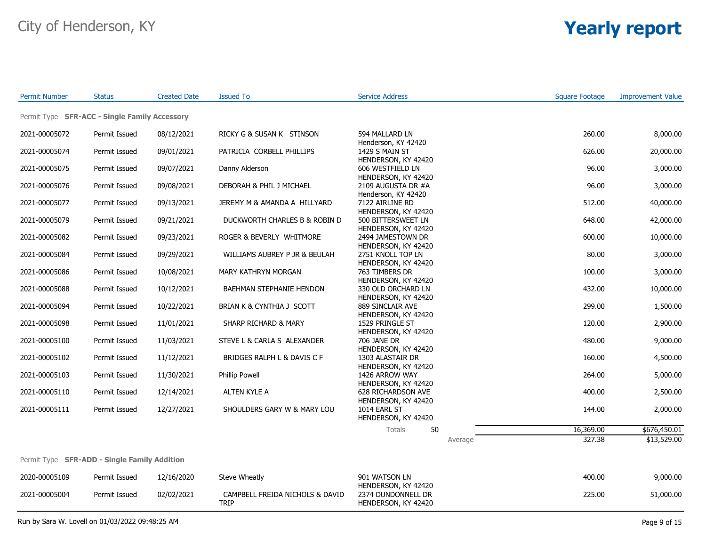| <b>Permit Number</b> | <b>Status</b>                                       | <b>Created Date</b> | <b>Issued To</b>                | <b>Service Address</b>                    | <b>Square Footage</b> | <b>Improvement Value</b> |
|----------------------|-----------------------------------------------------|---------------------|---------------------------------|-------------------------------------------|-----------------------|--------------------------|
|                      | Permit Type SFR-ACC - Single Family Accessory       |                     |                                 |                                           |                       |                          |
| 2021-00005072        | Permit Issued                                       | 08/12/2021          | RICKY G & SUSAN K STINSON       | 594 MALLARD LN<br>Henderson, KY 42420     | 260.00                | 8,000.00                 |
| 2021-00005074        | Permit Issued                                       | 09/01/2021          | PATRICIA CORBELL PHILLIPS       | 1429 S MAIN ST<br>HENDERSON, KY 42420     | 626.00                | 20,000.00                |
| 2021-00005075        | Permit Issued                                       | 09/07/2021          | Danny Alderson                  | 606 WESTFIELD LN<br>HENDERSON, KY 42420   | 96.00                 | 3,000.00                 |
| 2021-00005076        | Permit Issued                                       | 09/08/2021          | DEBORAH & PHIL J MICHAEL        | 2109 AUGUSTA DR #A<br>Henderson, KY 42420 | 96.00                 | 3,000.00                 |
| 2021-00005077        | Permit Issued                                       | 09/13/2021          | JEREMY M & AMANDA A HILLYARD    | 7122 AIRLINE RD<br>HENDERSON, KY 42420    | 512.00                | 40,000.00                |
| 2021-00005079        | Permit Issued                                       | 09/21/2021          | DUCKWORTH CHARLES B & ROBIN D   | 500 BITTERSWEET LN<br>HENDERSON, KY 42420 | 648.00                | 42,000.00                |
| 2021-00005082        | Permit Issued                                       | 09/23/2021          | ROGER & BEVERLY WHITMORE        | 2494 JAMESTOWN DR<br>HENDERSON, KY 42420  | 600.00                | 10,000.00                |
| 2021-00005084        | Permit Issued                                       | 09/29/2021          | WILLIAMS AUBREY P JR & BEULAH   | 2751 KNOLL TOP LN<br>HENDERSON, KY 42420  | 80.00                 | 3,000.00                 |
| 2021-00005086        | Permit Issued                                       | 10/08/2021          | MARY KATHRYN MORGAN             | 763 TIMBERS DR<br>HENDERSON, KY 42420     | 100.00                | 3,000.00                 |
| 2021-00005088        | Permit Issued                                       | 10/12/2021          | BAEHMAN STEPHANIE HENDON        | 330 OLD ORCHARD LN<br>HENDERSON, KY 42420 | 432.00                | 10,000.00                |
| 2021-00005094        | Permit Issued                                       | 10/22/2021          | BRIAN K & CYNTHIA J SCOTT       | 889 SINCLAIR AVE<br>HENDERSON, KY 42420   | 299.00                | 1,500.00                 |
| 2021-00005098        | Permit Issued                                       | 11/01/2021          | SHARP RICHARD & MARY            | 1529 PRINGLE ST<br>HENDERSON, KY 42420    | 120.00                | 2,900.00                 |
| 2021-00005100        | Permit Issued                                       | 11/03/2021          | STEVE L & CARLA S ALEXANDER     | 706 JANE DR<br>HENDERSON, KY 42420        | 480.00                | 9,000.00                 |
| 2021-00005102        | Permit Issued                                       | 11/12/2021          | BRIDGES RALPH L & DAVIS C F     | 1303 ALASTAIR DR<br>HENDERSON, KY 42420   | 160.00                | 4,500.00                 |
| 2021-00005103        | Permit Issued                                       | 11/30/2021          | Phillip Powell                  | 1426 ARROW WAY<br>HENDERSON, KY 42420     | 264.00                | 5,000.00                 |
| 2021-00005110        | Permit Issued                                       | 12/14/2021          | ALTEN KYLE A                    | 628 RICHARDSON AVE<br>HENDERSON, KY 42420 | 400.00                | 2,500.00                 |
| 2021-00005111        | Permit Issued                                       | 12/27/2021          | SHOULDERS GARY W & MARY LOU     | 1014 EARL ST<br>HENDERSON, KY 42420       | 144.00                | 2,000.00                 |
|                      |                                                     |                     |                                 | <b>Totals</b><br>50                       | 16,369.00             | \$676,450.01             |
|                      |                                                     |                     |                                 | Average                                   | 327.38                | \$13,529.00              |
|                      | Permit Type <b>SFR-ADD - Single Family Addition</b> |                     |                                 |                                           |                       |                          |
| 2020-00005109        | Permit Issued                                       | 12/16/2020          | Steve Wheatly                   | 901 WATSON LN<br>HENDERSON, KY 42420      | 400.00                | 9,000.00                 |
| 2021-00005004        | Permit Issued                                       | 02/02/2021          | CAMPBELL FREIDA NICHOLS & DAVID | 2374 DUNDONNELL DR                        | 225.00                | 51,000.00                |

HENDERSON, KY 42420

TRIP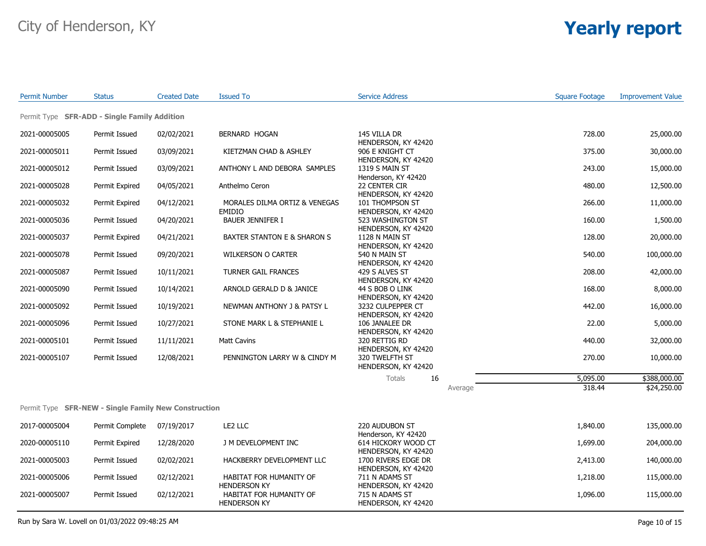| <b>Permit Number</b>                                 | <b>Status</b>   | <b>Created Date</b> | <b>Issued To</b>                               | <b>Service Address</b>                                            |         | <b>Square Footage</b> | <b>Improvement Value</b> |
|------------------------------------------------------|-----------------|---------------------|------------------------------------------------|-------------------------------------------------------------------|---------|-----------------------|--------------------------|
| Permit Type SFR-ADD - Single Family Addition         |                 |                     |                                                |                                                                   |         |                       |                          |
| 2021-00005005                                        | Permit Issued   | 02/02/2021          | BERNARD HOGAN                                  | 145 VILLA DR                                                      |         | 728.00                | 25,000.00                |
| 2021-00005011                                        | Permit Issued   | 03/09/2021          | KIETZMAN CHAD & ASHLEY                         | HENDERSON, KY 42420<br>906 E KNIGHT CT                            |         | 375.00                | 30,000.00                |
| 2021-00005012                                        | Permit Issued   | 03/09/2021          | ANTHONY L AND DEBORA SAMPLES                   | HENDERSON, KY 42420<br>1319 S MAIN ST                             |         | 243.00                | 15,000.00                |
| 2021-00005028                                        | Permit Expired  | 04/05/2021          | Anthelmo Ceron                                 | Henderson, KY 42420<br>22 CENTER CIR                              |         | 480.00                | 12,500.00                |
| 2021-00005032                                        | Permit Expired  | 04/12/2021          | MORALES DILMA ORTIZ & VENEGAS                  | HENDERSON, KY 42420<br>101 THOMPSON ST                            |         | 266.00                | 11,000.00                |
| 2021-00005036                                        | Permit Issued   | 04/20/2021          | <b>EMIDIO</b><br><b>BAUER JENNIFER I</b>       | HENDERSON, KY 42420<br>523 WASHINGTON ST                          |         | 160.00                | 1,500.00                 |
| 2021-00005037                                        | Permit Expired  | 04/21/2021          | <b>BAXTER STANTON E &amp; SHARON S</b>         | HENDERSON, KY 42420<br>1128 N MAIN ST                             |         | 128.00                | 20,000.00                |
| 2021-00005078                                        | Permit Issued   | 09/20/2021          | <b>WILKERSON O CARTER</b>                      | HENDERSON, KY 42420<br>540 N MAIN ST                              |         | 540.00                | 100,000.00               |
| 2021-00005087                                        | Permit Issued   | 10/11/2021          | <b>TURNER GAIL FRANCES</b>                     | HENDERSON, KY 42420<br>429 S ALVES ST                             |         | 208.00                | 42,000.00                |
| 2021-00005090                                        | Permit Issued   | 10/14/2021          | ARNOLD GERALD D & JANICE                       | HENDERSON, KY 42420<br>44 S BOB O LINK                            |         | 168.00                | 8,000.00                 |
| 2021-00005092                                        | Permit Issued   | 10/19/2021          | NEWMAN ANTHONY J & PATSY L                     | HENDERSON, KY 42420<br>3232 CULPEPPER CT                          |         | 442.00                | 16,000.00                |
| 2021-00005096                                        | Permit Issued   | 10/27/2021          | STONE MARK L & STEPHANIE L                     | HENDERSON, KY 42420<br>106 JANALEE DR                             |         | 22.00                 | 5,000.00                 |
| 2021-00005101                                        | Permit Issued   | 11/11/2021          | <b>Matt Cavins</b>                             | HENDERSON, KY 42420<br>320 RETTIG RD                              |         | 440.00                | 32,000.00                |
| 2021-00005107                                        | Permit Issued   | 12/08/2021          | PENNINGTON LARRY W & CINDY M                   | HENDERSON, KY 42420<br>320 TWELFTH ST<br>HENDERSON, KY 42420      |         | 270.00                | 10,000.00                |
|                                                      |                 |                     |                                                | Totals<br>16                                                      |         | 5,095.00              | \$388,000.00             |
|                                                      |                 |                     |                                                |                                                                   | Average | 318.44                | \$24,250.00              |
| Permit Type SFR-NEW - Single Family New Construction |                 |                     |                                                |                                                                   |         |                       |                          |
| 2017-00005004                                        | Permit Complete | 07/19/2017          | LE2 LLC                                        | 220 AUDUBON ST                                                    |         | 1,840.00              | 135,000.00               |
| 2020-00005110                                        | Permit Expired  | 12/28/2020          | J M DEVELOPMENT INC                            | Henderson, KY 42420<br>614 HICKORY WOOD CT                        |         | 1,699.00              | 204,000.00               |
| 2021-00005003                                        | Permit Issued   | 02/02/2021          | HACKBERRY DEVELOPMENT LLC                      | HENDERSON, KY 42420<br>1700 RIVERS EDGE DR<br>HENDERSON, KY 42420 |         | 2,413.00              | 140,000.00               |
| 2021-00005006                                        | Permit Issued   | 02/12/2021          | HABITAT FOR HUMANITY OF<br><b>HENDERSON KY</b> | 711 N ADAMS ST<br>HENDERSON, KY 42420                             |         | 1,218.00              | 115,000.00               |
| 2021-00005007                                        | Permit Issued   | 02/12/2021          | HABITAT FOR HUMANITY OF<br><b>HENDERSON KY</b> | 715 N ADAMS ST<br>HENDERSON, KY 42420                             |         | 1,096.00              | 115,000.00               |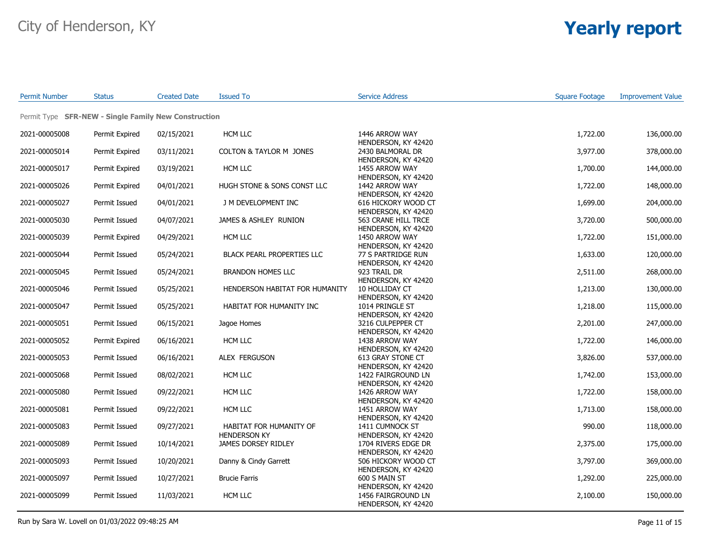| <b>Permit Number</b> | <b>Status</b>                                        | <b>Created Date</b> | <b>Issued To</b>                               | <b>Service Address</b>                                         | <b>Square Footage</b> | <b>Improvement Value</b> |
|----------------------|------------------------------------------------------|---------------------|------------------------------------------------|----------------------------------------------------------------|-----------------------|--------------------------|
|                      | Permit Type SFR-NEW - Single Family New Construction |                     |                                                |                                                                |                       |                          |
| 2021-00005008        | Permit Expired                                       | 02/15/2021          | HCM LLC                                        | 1446 ARROW WAY                                                 | 1,722.00              | 136,000.00               |
| 2021-00005014        | Permit Expired                                       | 03/11/2021          | <b>COLTON &amp; TAYLOR M JONES</b>             | HENDERSON, KY 42420<br>2430 BALMORAL DR<br>HENDERSON, KY 42420 | 3,977.00              | 378,000.00               |
| 2021-00005017        | Permit Expired                                       | 03/19/2021          | HCM LLC                                        | 1455 ARROW WAY<br>HENDERSON, KY 42420                          | 1,700.00              | 144,000.00               |
| 2021-00005026        | Permit Expired                                       | 04/01/2021          | HUGH STONE & SONS CONST LLC                    | 1442 ARROW WAY<br>HENDERSON, KY 42420                          | 1,722.00              | 148,000.00               |
| 2021-00005027        | Permit Issued                                        | 04/01/2021          | J M DEVELOPMENT INC                            | 616 HICKORY WOOD CT<br>HENDERSON, KY 42420                     | 1,699.00              | 204,000.00               |
| 2021-00005030        | Permit Issued                                        | 04/07/2021          | JAMES & ASHLEY RUNION                          | 563 CRANE HILL TRCE<br>HENDERSON, KY 42420                     | 3,720.00              | 500,000.00               |
| 2021-00005039        | Permit Expired                                       | 04/29/2021          | HCM LLC                                        | 1450 ARROW WAY<br>HENDERSON, KY 42420                          | 1,722.00              | 151,000.00               |
| 2021-00005044        | Permit Issued                                        | 05/24/2021          | <b>BLACK PEARL PROPERTIES LLC</b>              | 77 S PARTRIDGE RUN<br>HENDERSON, KY 42420                      | 1,633.00              | 120,000.00               |
| 2021-00005045        | Permit Issued                                        | 05/24/2021          | <b>BRANDON HOMES LLC</b>                       | 923 TRAIL DR<br>HENDERSON, KY 42420                            | 2,511.00              | 268,000.00               |
| 2021-00005046        | Permit Issued                                        | 05/25/2021          | HENDERSON HABITAT FOR HUMANITY                 | 10 HOLLIDAY CT<br>HENDERSON, KY 42420                          | 1,213.00              | 130,000.00               |
| 2021-00005047        | Permit Issued                                        | 05/25/2021          | HABITAT FOR HUMANITY INC                       | 1014 PRINGLE ST<br>HENDERSON, KY 42420                         | 1,218.00              | 115,000.00               |
| 2021-00005051        | Permit Issued                                        | 06/15/2021          | Jagoe Homes                                    | 3216 CULPEPPER CT<br>HENDERSON, KY 42420                       | 2,201.00              | 247,000.00               |
| 2021-00005052        | Permit Expired                                       | 06/16/2021          | HCM LLC                                        | 1438 ARROW WAY<br>HENDERSON, KY 42420                          | 1,722.00              | 146,000.00               |
| 2021-00005053        | Permit Issued                                        | 06/16/2021          | ALEX FERGUSON                                  | 613 GRAY STONE CT<br>HENDERSON, KY 42420                       | 3,826.00              | 537,000.00               |
| 2021-00005068        | Permit Issued                                        | 08/02/2021          | HCM LLC                                        | 1422 FAIRGROUND LN<br>HENDERSON, KY 42420                      | 1,742.00              | 153,000.00               |
| 2021-00005080        | Permit Issued                                        | 09/22/2021          | <b>HCM LLC</b>                                 | 1426 ARROW WAY<br>HENDERSON, KY 42420                          | 1,722.00              | 158,000.00               |
| 2021-00005081        | Permit Issued                                        | 09/22/2021          | HCM LLC                                        | 1451 ARROW WAY<br>HENDERSON, KY 42420                          | 1,713.00              | 158,000.00               |
| 2021-00005083        | Permit Issued                                        | 09/27/2021          | HABITAT FOR HUMANITY OF<br><b>HENDERSON KY</b> | 1411 CUMNOCK ST<br>HENDERSON, KY 42420                         | 990.00                | 118,000.00               |
| 2021-00005089        | Permit Issued                                        | 10/14/2021          | JAMES DORSEY RIDLEY                            | 1704 RIVERS EDGE DR<br>HENDERSON, KY 42420                     | 2,375.00              | 175,000.00               |
| 2021-00005093        | Permit Issued                                        | 10/20/2021          | Danny & Cindy Garrett                          | 506 HICKORY WOOD CT<br>HENDERSON, KY 42420                     | 3,797.00              | 369,000.00               |
| 2021-00005097        | Permit Issued                                        | 10/27/2021          | <b>Brucie Farris</b>                           | 600 S MAIN ST<br>HENDERSON, KY 42420                           | 1,292.00              | 225,000.00               |
| 2021-00005099        | Permit Issued                                        | 11/03/2021          | HCM LLC                                        | 1456 FAIRGROUND LN<br>HENDERSON, KY 42420                      | 2,100.00              | 150,000.00               |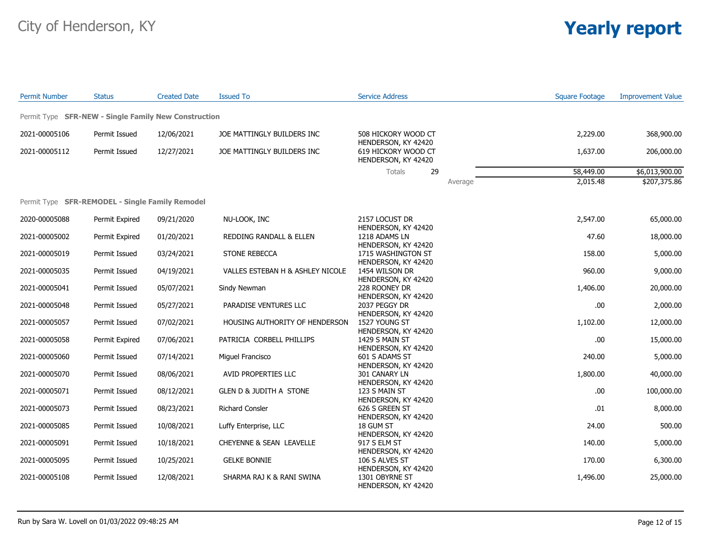| <b>Permit Number</b>                                 | <b>Status</b>  | <b>Created Date</b> | <b>Issued To</b>                   | <b>Service Address</b>                                            |         | <b>Square Footage</b> | <b>Improvement Value</b> |
|------------------------------------------------------|----------------|---------------------|------------------------------------|-------------------------------------------------------------------|---------|-----------------------|--------------------------|
| Permit Type SFR-NEW - Single Family New Construction |                |                     |                                    |                                                                   |         |                       |                          |
| 2021-00005106                                        | Permit Issued  | 12/06/2021          | JOE MATTINGLY BUILDERS INC         | 508 HICKORY WOOD CT                                               |         | 2,229.00              | 368,900.00               |
| 2021-00005112                                        | Permit Issued  | 12/27/2021          | JOE MATTINGLY BUILDERS INC         | HENDERSON, KY 42420<br>619 HICKORY WOOD CT<br>HENDERSON, KY 42420 |         | 1,637.00              | 206,000.00               |
|                                                      |                |                     |                                    | 29<br>Totals                                                      |         | 58,449.00             | \$6,013,900.00           |
|                                                      |                |                     |                                    |                                                                   | Average | 2,015.48              | \$207,375.86             |
| Permit Type SFR-REMODEL - Single Family Remodel      |                |                     |                                    |                                                                   |         |                       |                          |
| 2020-00005088                                        | Permit Expired | 09/21/2020          | NU-LOOK, INC                       | 2157 LOCUST DR<br>HENDERSON, KY 42420                             |         | 2,547.00              | 65,000.00                |
| 2021-00005002                                        | Permit Expired | 01/20/2021          | REDDING RANDALL & ELLEN            | 1218 ADAMS LN                                                     |         | 47.60                 | 18,000.00                |
| 2021-00005019                                        | Permit Issued  | 03/24/2021          | <b>STONE REBECCA</b>               | HENDERSON, KY 42420<br>1715 WASHINGTON ST                         |         | 158.00                | 5,000.00                 |
| 2021-00005035                                        | Permit Issued  | 04/19/2021          | VALLES ESTEBAN H & ASHLEY NICOLE   | HENDERSON, KY 42420<br>1454 WILSON DR                             |         | 960.00                | 9,000.00                 |
| 2021-00005041                                        | Permit Issued  | 05/07/2021          | Sindy Newman                       | HENDERSON, KY 42420<br>228 ROONEY DR                              |         | 1,406.00              | 20,000.00                |
| 2021-00005048                                        | Permit Issued  | 05/27/2021          | PARADISE VENTURES LLC              | HENDERSON, KY 42420<br>2037 PEGGY DR                              |         | .00                   | 2,000.00                 |
| 2021-00005057                                        | Permit Issued  | 07/02/2021          | HOUSING AUTHORITY OF HENDERSON     | HENDERSON, KY 42420<br>1527 YOUNG ST                              |         | 1,102.00              | 12,000.00                |
| 2021-00005058                                        | Permit Expired | 07/06/2021          | PATRICIA CORBELL PHILLIPS          | HENDERSON, KY 42420<br>1429 S MAIN ST<br>HENDERSON, KY 42420      |         | .00.                  | 15,000.00                |
| 2021-00005060                                        | Permit Issued  | 07/14/2021          | Miguel Francisco                   | 601 S ADAMS ST                                                    |         | 240.00                | 5,000.00                 |
| 2021-00005070                                        | Permit Issued  | 08/06/2021          | AVID PROPERTIES LLC                | HENDERSON, KY 42420<br>301 CANARY LN                              |         | 1,800.00              | 40,000.00                |
| 2021-00005071                                        | Permit Issued  | 08/12/2021          | <b>GLEN D &amp; JUDITH A STONE</b> | HENDERSON, KY 42420<br>123 S MAIN ST                              |         | .00                   | 100,000.00               |
| 2021-00005073                                        | Permit Issued  | 08/23/2021          | <b>Richard Consler</b>             | HENDERSON, KY 42420<br>626 S GREEN ST                             |         | .01                   | 8,000.00                 |
| 2021-00005085                                        | Permit Issued  | 10/08/2021          | Luffy Enterprise, LLC              | HENDERSON, KY 42420<br>18 GUM ST                                  |         | 24.00                 | 500.00                   |
| 2021-00005091                                        | Permit Issued  | 10/18/2021          | CHEYENNE & SEAN LEAVELLE           | HENDERSON, KY 42420<br>917 S ELM ST                               |         | 140.00                | 5,000.00                 |
| 2021-00005095                                        | Permit Issued  | 10/25/2021          | <b>GELKE BONNIE</b>                | HENDERSON, KY 42420<br>106 S ALVES ST                             |         | 170.00                | 6,300.00                 |
| 2021-00005108                                        | Permit Issued  | 12/08/2021          | SHARMA RAJ K & RANI SWINA          | HENDERSON, KY 42420<br>1301 OBYRNE ST<br>HENDERSON, KY 42420      |         | 1,496.00              | 25,000.00                |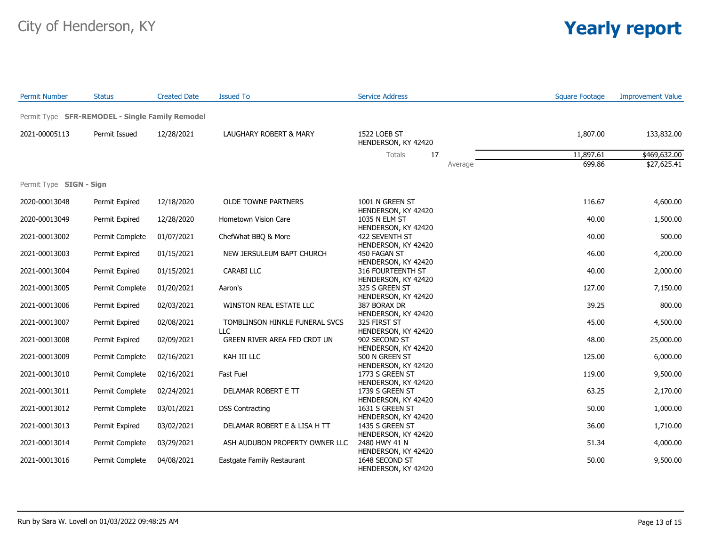| <b>Permit Number</b>    | <b>Status</b>                                   | <b>Created Date</b> | <b>Issued To</b>                             | <b>Service Address</b>                                       | <b>Square Footage</b> | <b>Improvement Value</b> |
|-------------------------|-------------------------------------------------|---------------------|----------------------------------------------|--------------------------------------------------------------|-----------------------|--------------------------|
|                         | Permit Type SFR-REMODEL - Single Family Remodel |                     |                                              |                                                              |                       |                          |
| 2021-00005113           | Permit Issued                                   | 12/28/2021          | LAUGHARY ROBERT & MARY                       | 1522 LOEB ST<br>HENDERSON, KY 42420                          | 1,807.00              | 133,832.00               |
|                         |                                                 |                     |                                              | 17<br>Totals                                                 | 11,897.61             | \$469,632.00             |
|                         |                                                 |                     |                                              | Average                                                      | 699.86                | \$27,625.41              |
| Permit Type SIGN - Sign |                                                 |                     |                                              |                                                              |                       |                          |
| 2020-00013048           | Permit Expired                                  | 12/18/2020          | <b>OLDE TOWNE PARTNERS</b>                   | 1001 N GREEN ST<br>HENDERSON, KY 42420                       | 116.67                | 4,600.00                 |
| 2020-00013049           | Permit Expired                                  | 12/28/2020          | Hometown Vision Care                         | 1035 N ELM ST                                                | 40.00                 | 1,500.00                 |
| 2021-00013002           | Permit Complete                                 | 01/07/2021          | ChefWhat BBQ & More                          | HENDERSON, KY 42420<br>422 SEVENTH ST                        | 40.00                 | 500.00                   |
| 2021-00013003           | Permit Expired                                  | 01/15/2021          | NEW JERSULEUM BAPT CHURCH                    | HENDERSON, KY 42420<br>450 FAGAN ST                          | 46.00                 | 4,200.00                 |
| 2021-00013004           | Permit Expired                                  | 01/15/2021          | <b>CARABI LLC</b>                            | HENDERSON, KY 42420<br>316 FOURTEENTH ST                     | 40.00                 | 2,000.00                 |
| 2021-00013005           | Permit Complete                                 | 01/20/2021          | Aaron's                                      | HENDERSON, KY 42420<br>325 S GREEN ST                        | 127.00                | 7,150.00                 |
| 2021-00013006           | Permit Expired                                  | 02/03/2021          | WINSTON REAL ESTATE LLC                      | HENDERSON, KY 42420<br>387 BORAX DR                          | 39.25                 | 800.00                   |
| 2021-00013007           | Permit Expired                                  | 02/08/2021          | TOMBLINSON HINKLE FUNERAL SVCS<br><b>LLC</b> | HENDERSON, KY 42420<br>325 FIRST ST                          | 45.00                 | 4,500.00                 |
| 2021-00013008           | Permit Expired                                  | 02/09/2021          | GREEN RIVER AREA FED CRDT UN                 | HENDERSON, KY 42420<br>902 SECOND ST                         | 48.00                 | 25,000.00                |
| 2021-00013009           | Permit Complete                                 | 02/16/2021          | KAH III LLC                                  | HENDERSON, KY 42420<br>500 N GREEN ST                        | 125.00                | 6,000.00                 |
| 2021-00013010           | Permit Complete                                 | 02/16/2021          | Fast Fuel                                    | HENDERSON, KY 42420<br>1773 S GREEN ST                       | 119.00                | 9,500.00                 |
| 2021-00013011           | Permit Complete                                 | 02/24/2021          | DELAMAR ROBERT E TT                          | HENDERSON, KY 42420<br>1739 S GREEN ST                       | 63.25                 | 2,170.00                 |
| 2021-00013012           | Permit Complete                                 | 03/01/2021          | <b>DSS Contracting</b>                       | HENDERSON, KY 42420<br>1631 S GREEN ST                       | 50.00                 | 1,000.00                 |
| 2021-00013013           | Permit Expired                                  | 03/02/2021          | DELAMAR ROBERT E & LISA H TT                 | HENDERSON, KY 42420<br>1435 S GREEN ST                       | 36.00                 | 1,710.00                 |
| 2021-00013014           | Permit Complete                                 | 03/29/2021          | ASH AUDUBON PROPERTY OWNER LLC               | HENDERSON, KY 42420<br>2480 HWY 41 N                         | 51.34                 | 4,000.00                 |
| 2021-00013016           | Permit Complete                                 | 04/08/2021          | Eastgate Family Restaurant                   | HENDERSON, KY 42420<br>1648 SECOND ST<br>HENDERSON, KY 42420 | 50.00                 | 9,500.00                 |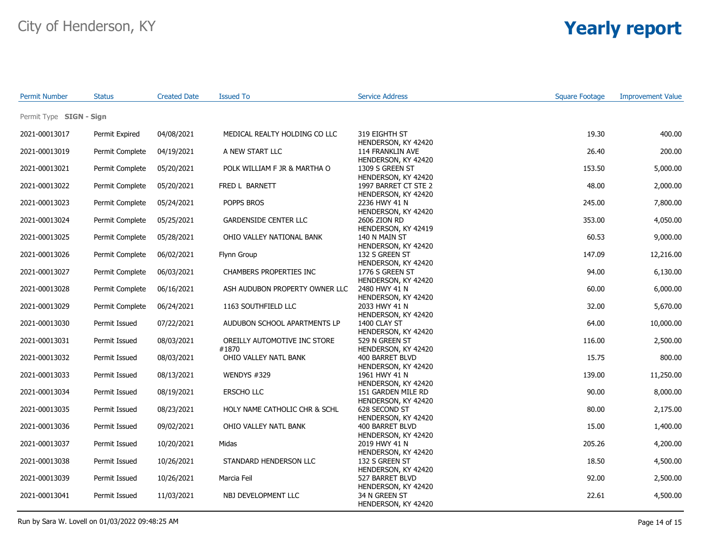| <b>Permit Number</b>    | <b>Status</b>   | <b>Created Date</b> | <b>Issued To</b>                      | <b>Service Address</b>                                         | <b>Square Footage</b> | <b>Improvement Value</b> |
|-------------------------|-----------------|---------------------|---------------------------------------|----------------------------------------------------------------|-----------------------|--------------------------|
| Permit Type SIGN - Sign |                 |                     |                                       |                                                                |                       |                          |
| 2021-00013017           | Permit Expired  | 04/08/2021          | MEDICAL REALTY HOLDING CO LLC         | 319 EIGHTH ST                                                  | 19.30                 | 400.00                   |
| 2021-00013019           | Permit Complete | 04/19/2021          | A NEW START LLC                       | HENDERSON, KY 42420<br>114 FRANKLIN AVE<br>HENDERSON, KY 42420 | 26.40                 | 200.00                   |
| 2021-00013021           | Permit Complete | 05/20/2021          | POLK WILLIAM F JR & MARTHA O          | 1309 S GREEN ST<br>HENDERSON, KY 42420                         | 153.50                | 5,000.00                 |
| 2021-00013022           | Permit Complete | 05/20/2021          | FRED L BARNETT                        | 1997 BARRET CT STE 2<br>HENDERSON, KY 42420                    | 48.00                 | 2,000.00                 |
| 2021-00013023           | Permit Complete | 05/24/2021          | POPPS BROS                            | 2236 HWY 41 N<br>HENDERSON, KY 42420                           | 245.00                | 7,800.00                 |
| 2021-00013024           | Permit Complete | 05/25/2021          | <b>GARDENSIDE CENTER LLC</b>          | 2606 ZION RD<br>HENDERSON, KY 42419                            | 353.00                | 4,050.00                 |
| 2021-00013025           | Permit Complete | 05/28/2021          | OHIO VALLEY NATIONAL BANK             | 140 N MAIN ST<br>HENDERSON, KY 42420                           | 60.53                 | 9,000.00                 |
| 2021-00013026           | Permit Complete | 06/02/2021          | Flynn Group                           | 132 S GREEN ST<br>HENDERSON, KY 42420                          | 147.09                | 12,216.00                |
| 2021-00013027           | Permit Complete | 06/03/2021          | CHAMBERS PROPERTIES INC               | 1776 S GREEN ST<br>HENDERSON, KY 42420                         | 94.00                 | 6,130.00                 |
| 2021-00013028           | Permit Complete | 06/16/2021          | ASH AUDUBON PROPERTY OWNER LLC        | 2480 HWY 41 N<br>HENDERSON, KY 42420                           | 60.00                 | 6,000.00                 |
| 2021-00013029           | Permit Complete | 06/24/2021          | 1163 SOUTHFIELD LLC                   | 2033 HWY 41 N<br>HENDERSON, KY 42420                           | 32.00                 | 5,670.00                 |
| 2021-00013030           | Permit Issued   | 07/22/2021          | AUDUBON SCHOOL APARTMENTS LP          | 1400 CLAY ST<br>HENDERSON, KY 42420                            | 64.00                 | 10,000.00                |
| 2021-00013031           | Permit Issued   | 08/03/2021          | OREILLY AUTOMOTIVE INC STORE<br>#1870 | 529 N GREEN ST<br>HENDERSON, KY 42420                          | 116.00                | 2,500.00                 |
| 2021-00013032           | Permit Issued   | 08/03/2021          | OHIO VALLEY NATL BANK                 | 400 BARRET BLVD<br>HENDERSON, KY 42420                         | 15.75                 | 800.00                   |
| 2021-00013033           | Permit Issued   | 08/13/2021          | WENDYS #329                           | 1961 HWY 41 N<br>HENDERSON, KY 42420                           | 139.00                | 11,250.00                |
| 2021-00013034           | Permit Issued   | 08/19/2021          | ERSCHO LLC                            | 151 GARDEN MILE RD<br>HENDERSON, KY 42420                      | 90.00                 | 8,000.00                 |
| 2021-00013035           | Permit Issued   | 08/23/2021          | HOLY NAME CATHOLIC CHR & SCHL         | 628 SECOND ST<br>HENDERSON, KY 42420                           | 80.00                 | 2,175.00                 |
| 2021-00013036           | Permit Issued   | 09/02/2021          | OHIO VALLEY NATL BANK                 | 400 BARRET BLVD<br>HENDERSON, KY 42420                         | 15.00                 | 1,400.00                 |
| 2021-00013037           | Permit Issued   | 10/20/2021          | Midas                                 | 2019 HWY 41 N<br>HENDERSON, KY 42420                           | 205.26                | 4,200.00                 |
| 2021-00013038           | Permit Issued   | 10/26/2021          | STANDARD HENDERSON LLC                | 132 S GREEN ST<br>HENDERSON, KY 42420                          | 18.50                 | 4,500.00                 |
| 2021-00013039           | Permit Issued   | 10/26/2021          | Marcia Feil                           | 527 BARRET BLVD<br>HENDERSON, KY 42420                         | 92.00                 | 2,500.00                 |
| 2021-00013041           | Permit Issued   | 11/03/2021          | NBJ DEVELOPMENT LLC                   | 34 N GREEN ST<br>HENDERSON, KY 42420                           | 22.61                 | 4,500.00                 |